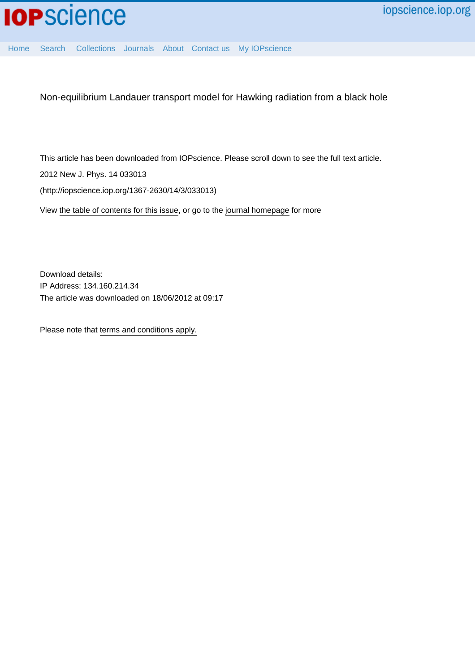

[Home](http://iopscience.iop.org/) [Search](http://iopscience.iop.org/search) [Collections](http://iopscience.iop.org/collections) [Journals](http://iopscience.iop.org/journals) [About](http://iopscience.iop.org/page/aboutioppublishing) [Contact us](http://iopscience.iop.org/contact) [My IOPscience](http://iopscience.iop.org/myiopscience)

Non-equilibrium Landauer transport model for Hawking radiation from a black hole

This article has been downloaded from IOPscience. Please scroll down to see the full text article.

2012 New J. Phys. 14 033013

(http://iopscience.iop.org/1367-2630/14/3/033013)

View [the table of contents for this issue](http://iopscience.iop.org/1367-2630/14/3), or go to the [journal homepage](http://iopscience.iop.org/1367-2630) for more

Download details: IP Address: 134.160.214.34 The article was downloaded on 18/06/2012 at 09:17

Please note that [terms and conditions apply.](http://iopscience.iop.org/page/terms)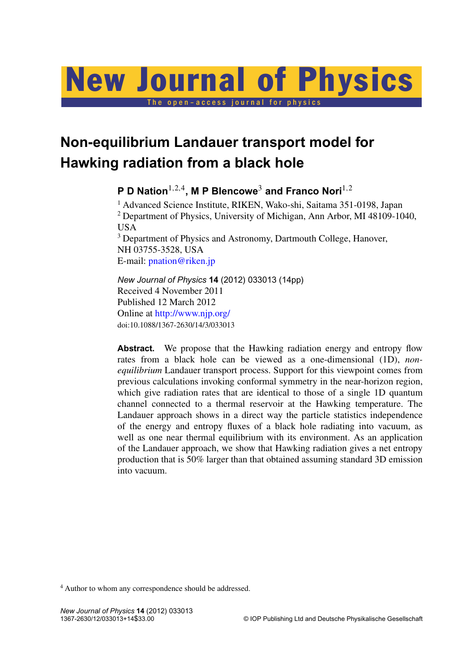# New Journal of Physics

The open-access journal for physics

# **Non-equilibrium Landauer transport model for Hawking radiation from a black hole**

**P D Nation**1,2,<sup>4</sup> **, M P Blencowe**<sup>3</sup> **and Franco Nori**1,<sup>2</sup>

<sup>1</sup> Advanced Science Institute, RIKEN, Wako-shi, Saitama 351-0198, Japan <sup>2</sup> Department of Physics, University of Michigan, Ann Arbor, MI 48109-1040, USA

<sup>3</sup> Department of Physics and Astronomy, Dartmouth College, Hanover, NH 03755-3528, USA E-mail: [pnation@riken.jp](mailto:pnation@riken.jp)

*New Journal of Physics* **14** (2012) 033013 (14pp) Received 4 November 2011 Published 12 March 2012 Online at <http://www.njp.org/> doi:10.1088/1367-2630/14/3/033013

Abstract. We propose that the Hawking radiation energy and entropy flow rates from a black hole can be viewed as a one-dimensional (1D), *nonequilibrium* Landauer transport process. Support for this viewpoint comes from previous calculations invoking conformal symmetry in the near-horizon region, which give radiation rates that are identical to those of a single 1D quantum channel connected to a thermal reservoir at the Hawking temperature. The Landauer approach shows in a direct way the particle statistics independence of the energy and entropy fluxes of a black hole radiating into vacuum, as well as one near thermal equilibrium with its environment. As an application of the Landauer approach, we show that Hawking radiation gives a net entropy production that is 50% larger than that obtained assuming standard 3D emission into vacuum.

<sup>4</sup> Author to whom any correspondence should be addressed.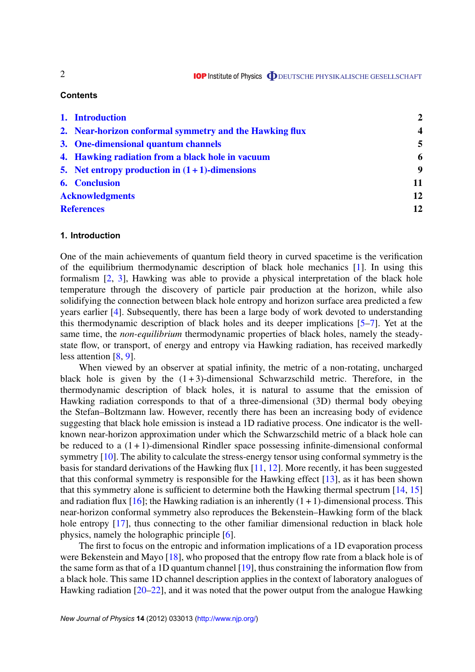# **Contents**

|                        | 1. Introduction                                         | $\mathbf{2}$            |
|------------------------|---------------------------------------------------------|-------------------------|
|                        | 2. Near-horizon conformal symmetry and the Hawking flux | $\overline{\mathbf{4}}$ |
|                        | 3. One-dimensional quantum channels                     | 5                       |
|                        | 4. Hawking radiation from a black hole in vacuum        | 6                       |
|                        | 5. Net entropy production in $(1 + 1)$ -dimensions      | 9                       |
|                        | <b>6.</b> Conclusion                                    | 11                      |
| <b>Acknowledgments</b> |                                                         | 12                      |
| <b>References</b>      |                                                         | 12                      |

### **1. Introduction**

One of the main achievements of quantum field theory in curved spacetime is the verification of the equilibrium thermodynamic description of black hole mechanics [\[1\]](#page-12-0). In using this formalism [\[2,](#page-12-0) [3\]](#page-12-0), Hawking was able to provide a physical interpretation of the black hole temperature through the discovery of particle pair production at the horizon, while also solidifying the connection between black hole entropy and horizon surface area predicted a few years earlier [\[4\]](#page-12-0). Subsequently, there has been a large body of work devoted to understanding this thermodynamic description of black holes and its deeper implications [\[5–7\]](#page-12-0). Yet at the same time, the *non-equilibrium* thermodynamic properties of black holes, namely the steadystate flow, or transport, of energy and entropy via Hawking radiation, has received markedly less attention [\[8,](#page-12-0) [9\]](#page-12-0).

When viewed by an observer at spatial infinity, the metric of a non-rotating, uncharged black hole is given by the  $(1+3)$ -dimensional Schwarzschild metric. Therefore, in the thermodynamic description of black holes, it is natural to assume that the emission of Hawking radiation corresponds to that of a three-dimensional (3D) thermal body obeying the Stefan–Boltzmann law. However, recently there has been an increasing body of evidence suggesting that black hole emission is instead a 1D radiative process. One indicator is the wellknown near-horizon approximation under which the Schwarzschild metric of a black hole can be reduced to a  $(1 + 1)$ -dimensional Rindler space possessing infinite-dimensional conformal symmetry [\[10\]](#page-12-0). The ability to calculate the stress-energy tensor using conformal symmetry is the basis for standard derivations of the Hawking flux [\[11,](#page-12-0) [12\]](#page-12-0). More recently, it has been suggested that this conformal symmetry is responsible for the Hawking effect [\[13\]](#page-12-0), as it has been shown that this symmetry alone is sufficient to determine both the Hawking thermal spectrum [\[14,](#page-12-0) [15\]](#page-12-0) and radiation flux  $[16]$ ; the Hawking radiation is an inherently  $(1 + 1)$ -dimensional process. This near-horizon conformal symmetry also reproduces the Bekenstein–Hawking form of the black hole entropy [\[17\]](#page-13-0), thus connecting to the other familiar dimensional reduction in black hole physics, namely the holographic principle [\[6\]](#page-12-0).

The first to focus on the entropic and information implications of a 1D evaporation process were Bekenstein and Mayo [\[18\]](#page-13-0), who proposed that the entropy flow rate from a black hole is of the same form as that of a 1D quantum channel [\[19\]](#page-13-0), thus constraining the information flow from a black hole. This same 1D channel description applies in the context of laboratory analogues of Hawking radiation [\[20–22\]](#page-13-0), and it was noted that the power output from the analogue Hawking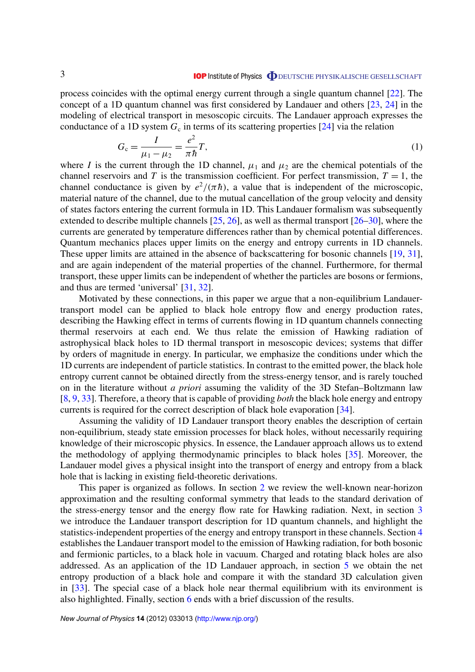<span id="page-3-0"></span>process coincides with the optimal energy current through a single quantum channel [\[22\]](#page-13-0). The concept of a 1D quantum channel was first considered by Landauer and others [\[23,](#page-13-0) [24\]](#page-13-0) in the modeling of electrical transport in mesoscopic circuits. The Landauer approach expresses the conductance of a 1D system  $G_c$  in terms of its scattering properties [\[24\]](#page-13-0) via the relation

$$
G_c = \frac{I}{\mu_1 - \mu_2} = \frac{e^2}{\pi \hbar} T,\tag{1}
$$

where *I* is the current through the 1D channel,  $\mu_1$  and  $\mu_2$  are the chemical potentials of the channel reservoirs and *T* is the transmission coefficient. For perfect transmission,  $T = 1$ , the channel conductance is given by  $e^2/(\pi \hbar)$ , a value that is independent of the microscopic, material nature of the channel, due to the mutual cancellation of the group velocity and density of states factors entering the current formula in 1D. This Landauer formalism was subsequently extended to describe multiple channels [\[25,](#page-13-0) [26\]](#page-13-0), as well as thermal transport [\[26–30\]](#page-13-0), where the currents are generated by temperature differences rather than by chemical potential differences. Quantum mechanics places upper limits on the energy and entropy currents in 1D channels. These upper limits are attained in the absence of backscattering for bosonic channels [\[19,](#page-13-0) [31\]](#page-13-0), and are again independent of the material properties of the channel. Furthermore, for thermal transport, these upper limits can be independent of whether the particles are bosons or fermions, and thus are termed 'universal' [\[31,](#page-13-0) [32\]](#page-13-0).

Motivated by these connections, in this paper we argue that a non-equilibrium Landauertransport model can be applied to black hole entropy flow and energy production rates, describing the Hawking effect in terms of currents flowing in 1D quantum channels connecting thermal reservoirs at each end. We thus relate the emission of Hawking radiation of astrophysical black holes to 1D thermal transport in mesoscopic devices; systems that differ by orders of magnitude in energy. In particular, we emphasize the conditions under which the 1D currents are independent of particle statistics. In contrast to the emitted power, the black hole entropy current cannot be obtained directly from the stress-energy tensor, and is rarely touched on in the literature without *a priori* assuming the validity of the 3D Stefan–Boltzmann law [\[8,](#page-12-0) [9,](#page-12-0) [33\]](#page-13-0). Therefore, a theory that is capable of providing *both* the black hole energy and entropy currents is required for the correct description of black hole evaporation [\[34\]](#page-13-0).

Assuming the validity of 1D Landauer transport theory enables the description of certain non-equilibrium, steady state emission processes for black holes, without necessarily requiring knowledge of their microscopic physics. In essence, the Landauer approach allows us to extend the methodology of applying thermodynamic principles to black holes [\[35\]](#page-13-0). Moreover, the Landauer model gives a physical insight into the transport of energy and entropy from a black hole that is lacking in existing field-theoretic derivations.

This paper is organized as follows. In section 2 we review the well-known near-horizon approximation and the resulting conformal symmetry that leads to the standard derivation of the stress-energy tensor and the energy flow rate for Hawking radiation. Next, in section [3](#page-5-0) we introduce the Landauer transport description for 1D quantum channels, and highlight the statistics-independent properties of the energy and entropy transport in these channels. Section [4](#page-6-0) establishes the Landauer transport model to the emission of Hawking radiation, for both bosonic and fermionic particles, to a black hole in vacuum. Charged and rotating black holes are also addressed. As an application of the 1D Landauer approach, in section [5](#page-9-0) we obtain the net entropy production of a black hole and compare it with the standard 3D calculation given in [\[33\]](#page-13-0). The special case of a black hole near thermal equilibrium with its environment is also highlighted. Finally, section [6](#page-10-0) ends with a brief discussion of the results.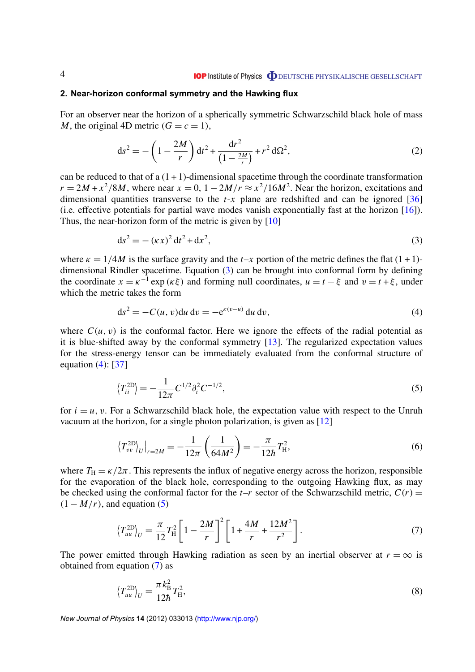# <span id="page-4-0"></span>**2. Near-horizon conformal symmetry and the Hawking flux**

For an observer near the horizon of a spherically symmetric Schwarzschild black hole of mass *M*, the original 4D metric  $(G = c = 1)$ ,

$$
ds^{2} = -\left(1 - \frac{2M}{r}\right)dt^{2} + \frac{dr^{2}}{\left(1 - \frac{2M}{r}\right)} + r^{2} d\Omega^{2},
$$
\n(2)

can be reduced to that of a  $(1 + 1)$ -dimensional spacetime through the coordinate transformation  $r = 2M + x^2/8M$ , where near  $x = 0$ ,  $1 - 2M/r \approx x^2/16M^2$ . Near the horizon, excitations and dimensional quantities transverse to the  $t-x$  plane are redshifted and can be ignored  $\lceil 36 \rceil$ (i.e. effective potentials for partial wave modes vanish exponentially fast at the horizon [\[16\]](#page-12-0)). Thus, the near-horizon form of the metric is given by [\[10\]](#page-12-0)

$$
ds^{2} = -(\kappa x)^{2} dt^{2} + dx^{2},
$$
\n(3)

where  $\kappa = 1/4M$  is the surface gravity and the *t*–*x* portion of the metric defines the flat (1+1)dimensional Rindler spacetime. Equation (3) can be brought into conformal form by defining the coordinate  $x = \kappa^{-1} \exp(\kappa \xi)$  and forming null coordinates,  $u = t - \xi$  and  $v = t + \xi$ , under which the metric takes the form

$$
ds2 = -C(u, v)du dv = -e\kappa(v-u) du dv,
$$
\n(4)

where  $C(u, v)$  is the conformal factor. Here we ignore the effects of the radial potential as it is blue-shifted away by the conformal symmetry [\[13\]](#page-12-0). The regularized expectation values for the stress-energy tensor can be immediately evaluated from the conformal structure of equation  $(4)$ : [\[37\]](#page-13-0)

$$
\left\langle T_{ii}^{\text{2D}} \right\rangle = -\frac{1}{12\pi} C^{1/2} \partial_i^2 C^{-1/2},\tag{5}
$$

for  $i = u$ , v. For a Schwarzschild black hole, the expectation value with respect to the Unruh vacuum at the horizon, for a single photon polarization, is given as [\[12\]](#page-12-0)

$$
\left\langle T_{vv}^{2D} \right\rangle_{U} \big|_{r=2M} = -\frac{1}{12\pi} \left( \frac{1}{64M^2} \right) = -\frac{\pi}{12\hbar} T_H^2,\tag{6}
$$

where  $T_H = \kappa/2\pi$ . This represents the influx of negative energy across the horizon, responsible for the evaporation of the black hole, corresponding to the outgoing Hawking flux, as may be checked using the conformal factor for the  $t-r$  sector of the Schwarzschild metric,  $C(r)$  =  $(1 - M/r)$ , and equation (5)

$$
\left\langle T_{uu}^{\text{2D}} \right\rangle_{U} = \frac{\pi}{12} T_{\text{H}}^{2} \left[ 1 - \frac{2M}{r} \right]^{2} \left[ 1 + \frac{4M}{r} + \frac{12M^{2}}{r^{2}} \right]. \tag{7}
$$

The power emitted through Hawking radiation as seen by an inertial observer at  $r = \infty$  is obtained from equation (7) as

$$
\left\langle T_{uu}^{\text{2D}} \right\rangle_U = \frac{\pi k_B^2}{12\hbar} T_H^2,\tag{8}
$$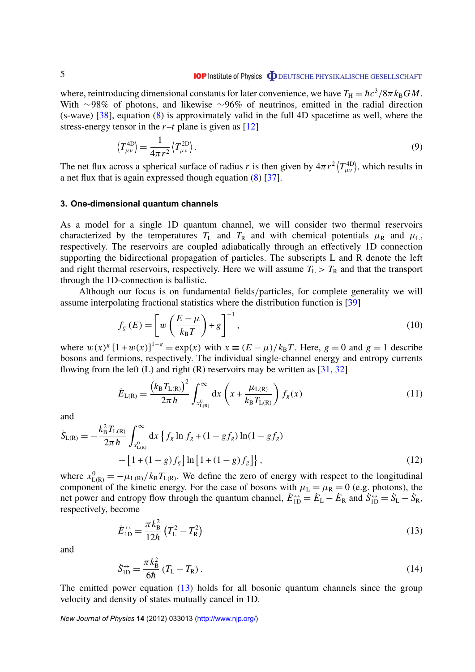<span id="page-5-0"></span>where, reintroducing dimensional constants for later convenience, we have  $T_H = \hbar c^3/8\pi k_B GM$ . With ∼98% of photons, and likewise ∼96% of neutrinos, emitted in the radial direction (s-wave)  $[38]$ , equation  $(8)$  is approximately valid in the full 4D spacetime as well, where the stress-energy tensor in the  $r-t$  plane is given as  $[12]$ 

$$
\left\langle T_{\mu\nu}^{\text{4D}} \right\rangle = \frac{1}{4\pi r^2} \left\langle T_{\mu\nu}^{\text{2D}} \right\rangle. \tag{9}
$$

The net flux across a spherical surface of radius *r* is then given by  $4\pi r^2 \langle T_{\mu\nu}^{AD} \rangle$ , which results in a net flux that is again expressed though equation [\(8\)](#page-4-0) [\[37\]](#page-13-0).

#### **3. One-dimensional quantum channels**

As a model for a single 1D quantum channel, we will consider two thermal reservoirs characterized by the temperatures  $T_L$  and  $T_R$  and with chemical potentials  $\mu_R$  and  $\mu_L$ , respectively. The reservoirs are coupled adiabatically through an effectively 1D connection supporting the bidirectional propagation of particles. The subscripts L and R denote the left and right thermal reservoirs, respectively. Here we will assume  $T_L > T_R$  and that the transport through the 1D-connection is ballistic.

Although our focus is on fundamental fields/particles, for complete generality we will assume interpolating fractional statistics where the distribution function is [\[39\]](#page-13-0)

$$
f_g(E) = \left[ w \left( \frac{E - \mu}{k_B T} \right) + g \right]^{-1},\tag{10}
$$

where  $w(x)^{g} [1 + w(x)]^{1-g} = \exp(x)$  with  $x \equiv (E - \mu)/k_B T$ . Here,  $g = 0$  and  $g = 1$  describe bosons and fermions, respectively. The individual single-channel energy and entropy currents flowing from the left (L) and right (R) reservoirs may be written as  $[31, 32]$  $[31, 32]$  $[31, 32]$ 

$$
\dot{E}_{L(R)} = \frac{(k_B T_{L(R)})^2}{2\pi \hbar} \int_{x_{L(R)}^0}^{\infty} dx \left(x + \frac{\mu_{L(R)}}{k_B T_{L(R)}}\right) f_g(x)
$$
\n(11)

and

$$
\dot{S}_{L(R)} = -\frac{k_B^2 T_{L(R)}}{2\pi \hbar} \int_{x_{L(R)}^0}^{\infty} dx \left\{ f_g \ln f_g + (1 - gf_g) \ln(1 - gf_g) \right. \n- \left[ 1 + (1 - g) f_g \right] \ln \left[ 1 + (1 - g) f_g \right] \right\},
$$
\n(12)

where  $x_{L(R)}^0 = -\mu_{L(R)}/k_B T_{L(R)}$ . We define the zero of energy with respect to the longitudinal component of the kinetic energy. For the case of bosons with  $\mu_L = \mu_R = 0$  (e.g. photons), the net power and entropy flow through the quantum channel,  $\dot{E}_{1D}^{\leftrightarrow} = \dot{E}_{L} - \dot{E}_{R}$  and  $\dot{S}_{1D}^{\leftrightarrow} = \dot{S}_{L} - \dot{S}_{R}$ , respectively, become

$$
\dot{E}_{1D}^{\leftrightarrow} = \frac{\pi k_B^2}{12\hbar} \left( T_L^2 - T_R^2 \right) \tag{13}
$$

and

$$
\dot{S}_{\rm 1D}^{\leftrightarrow} = \frac{\pi k_{\rm B}^2}{6\hbar} \left( T_{\rm L} - T_{\rm R} \right). \tag{14}
$$

The emitted power equation (13) holds for all bosonic quantum channels since the group velocity and density of states mutually cancel in 1D.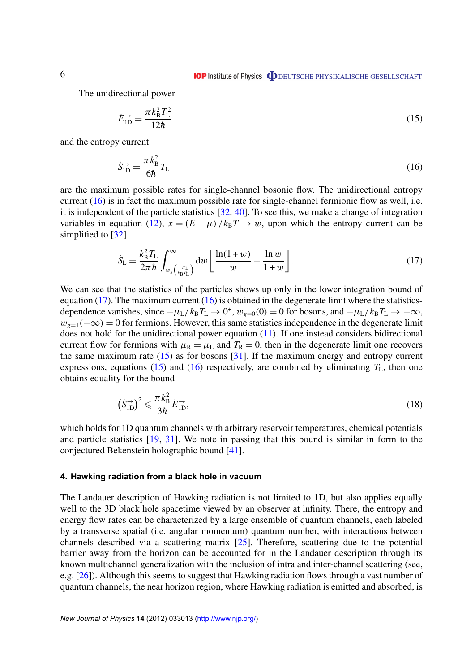<span id="page-6-0"></span>The unidirectional power

$$
\dot{E}_{1D}^{\rightarrow} = \frac{\pi k_B^2 T_L^2}{12\hbar} \tag{15}
$$

and the entropy current

$$
\dot{S}_{\rm 1D}^{\rightarrow} = \frac{\pi k_{\rm B}^2}{6\hbar} T_{\rm L} \tag{16}
$$

are the maximum possible rates for single-channel bosonic flow. The unidirectional entropy current (16) is in fact the maximum possible rate for single-channel fermionic flow as well, i.e. it is independent of the particle statistics [\[32,](#page-13-0) [40\]](#page-13-0). To see this, we make a change of integration variables in equation [\(12\)](#page-5-0),  $x = (E - \mu)/k_B T \rightarrow w$ , upon which the entropy current can be simplified to [\[32\]](#page-13-0)

$$
\dot{S}_{\rm L} = \frac{k_{\rm B}^2 T_{\rm L}}{2\pi\hbar} \int_{w_s\left(\frac{-\mu_{\rm L}}{k_{\rm B}T_{\rm L}}\right)}^{\infty} dw \left[\frac{\ln(1+w)}{w} - \frac{\ln w}{1+w}\right].\tag{17}
$$

We can see that the statistics of the particles shows up only in the lower integration bound of equation (17). The maximum current  $(16)$  is obtained in the degenerate limit where the statisticsdependence vanishes, since  $-\mu_L/k_B T_L \rightarrow 0^+$ ,  $w_{g=0}(0) = 0$  for bosons, and  $-\mu_L/k_B T_L \rightarrow -\infty$ ,  $w_{g=1}(-\infty) = 0$  for fermions. However, this same statistics independence in the degenerate limit does not hold for the unidirectional power equation [\(11\)](#page-5-0). If one instead considers bidirectional current flow for fermions with  $\mu_R = \mu_L$  and  $T_R = 0$ , then in the degenerate limit one recovers the same maximum rate  $(15)$  as for bosons [\[31\]](#page-13-0). If the maximum energy and entropy current expressions, equations (15) and (16) respectively, are combined by eliminating  $T_L$ , then one obtains equality for the bound

$$
\left(\dot{S}_{\text{1D}}^{\rightarrow}\right)^2 \leqslant \frac{\pi k_\text{B}^2}{3\hbar} \dot{E}_{\text{1D}}^{\rightarrow},\tag{18}
$$

which holds for 1D quantum channels with arbitrary reservoir temperatures, chemical potentials and particle statistics [\[19,](#page-13-0) [31\]](#page-13-0). We note in passing that this bound is similar in form to the conjectured Bekenstein holographic bound [\[41\]](#page-13-0).

# **4. Hawking radiation from a black hole in vacuum**

The Landauer description of Hawking radiation is not limited to 1D, but also applies equally well to the 3D black hole spacetime viewed by an observer at infinity. There, the entropy and energy flow rates can be characterized by a large ensemble of quantum channels, each labeled by a transverse spatial (i.e. angular momentum) quantum number, with interactions between channels described via a scattering matrix [\[25\]](#page-13-0). Therefore, scattering due to the potential barrier away from the horizon can be accounted for in the Landauer description through its known multichannel generalization with the inclusion of intra and inter-channel scattering (see, e.g. [\[26\]](#page-13-0)). Although this seems to suggest that Hawking radiation flows through a vast number of quantum channels, the near horizon region, where Hawking radiation is emitted and absorbed, is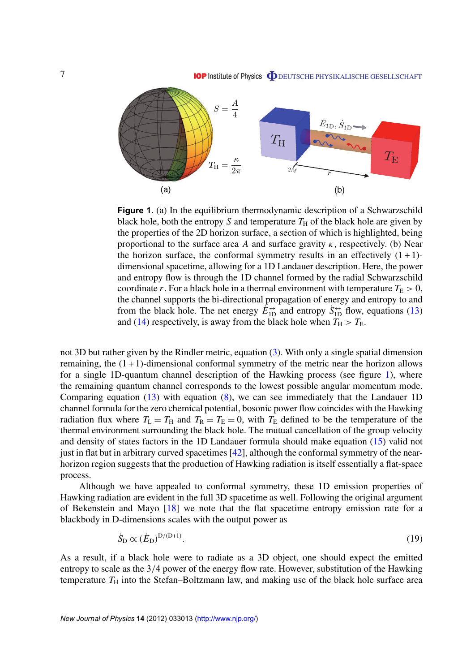

**Figure 1.** (a) In the equilibrium thermodynamic description of a Schwarzschild black hole, both the entropy *S* and temperature  $T_H$  of the black hole are given by the properties of the 2D horizon surface, a section of which is highlighted, being proportional to the surface area *A* and surface gravity  $\kappa$ , respectively. (b) Near the horizon surface, the conformal symmetry results in an effectively  $(1 + 1)$ dimensional spacetime, allowing for a 1D Landauer description. Here, the power and entropy flow is through the 1D channel formed by the radial Schwarzschild coordinate *r*. For a black hole in a thermal environment with temperature  $T_E > 0$ , the channel supports the bi-directional propagation of energy and entropy to and from the black hole. The net energy  $\vec{E}_{1D}^{\leftrightarrow}$  and entropy  $\vec{S}_{1D}^{\leftrightarrow}$  flow, equations [\(13\)](#page-5-0) and [\(14\)](#page-5-0) respectively, is away from the black hole when  $T_H > T_E$ .

not 3D but rather given by the Rindler metric, equation [\(3\)](#page-4-0). With only a single spatial dimension remaining, the  $(1 + 1)$ -dimensional conformal symmetry of the metric near the horizon allows for a single 1D-quantum channel description of the Hawking process (see figure 1), where the remaining quantum channel corresponds to the lowest possible angular momentum mode. Comparing equation  $(13)$  with equation  $(8)$ , we can see immediately that the Landauer 1D channel formula for the zero chemical potential, bosonic power flow coincides with the Hawking radiation flux where  $T_L = T_H$  and  $T_R = T_E = 0$ , with  $T_E$  defined to be the temperature of the thermal environment surrounding the black hole. The mutual cancellation of the group velocity and density of states factors in the 1D Landauer formula should make equation [\(15\)](#page-6-0) valid not just in flat but in arbitrary curved spacetimes [\[42\]](#page-13-0), although the conformal symmetry of the nearhorizon region suggests that the production of Hawking radiation is itself essentially a flat-space process.

Although we have appealed to conformal symmetry, these 1D emission properties of Hawking radiation are evident in the full 3D spacetime as well. Following the original argument of Bekenstein and Mayo [\[18\]](#page-13-0) we note that the flat spacetime entropy emission rate for a blackbody in D-dimensions scales with the output power as

$$
\dot{S}_{\rm D} \propto (\dot{E}_{\rm D})^{\rm D/(D+1)}.\tag{19}
$$

As a result, if a black hole were to radiate as a 3D object, one should expect the emitted entropy to scale as the 3/4 power of the energy flow rate. However, substitution of the Hawking temperature  $T_H$  into the Stefan–Boltzmann law, and making use of the black hole surface area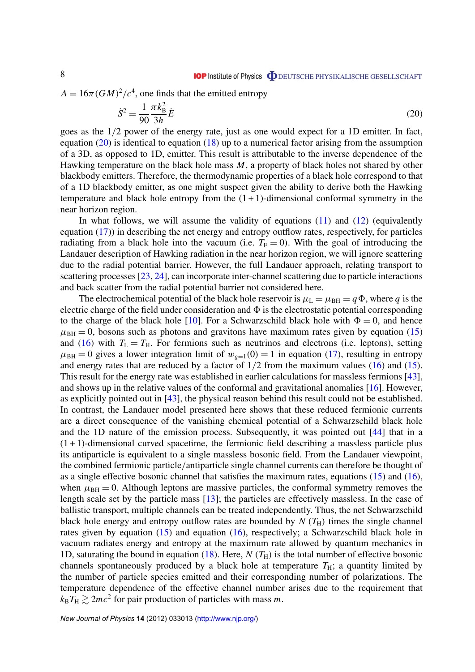$A = 16\pi (GM)^2/c^4$ , one finds that the emitted entropy

$$
\dot{S}^2 = \frac{1}{90} \frac{\pi k_B^2}{3\hbar} \dot{E}
$$
 (20)

goes as the 1/2 power of the energy rate, just as one would expect for a 1D emitter. In fact, equation  $(20)$  is identical to equation  $(18)$  up to a numerical factor arising from the assumption of a 3D, as opposed to 1D, emitter. This result is attributable to the inverse dependence of the Hawking temperature on the black hole mass *M*, a property of black holes not shared by other blackbody emitters. Therefore, the thermodynamic properties of a black hole correspond to that of a 1D blackbody emitter, as one might suspect given the ability to derive both the Hawking temperature and black hole entropy from the  $(1 + 1)$ -dimensional conformal symmetry in the near horizon region.

In what follows, we will assume the validity of equations  $(11)$  and  $(12)$  (equivalently equation [\(17\)](#page-6-0)) in describing the net energy and entropy outflow rates, respectively, for particles radiating from a black hole into the vacuum (i.e.  $T<sub>E</sub> = 0$ ). With the goal of introducing the Landauer description of Hawking radiation in the near horizon region, we will ignore scattering due to the radial potential barrier. However, the full Landauer approach, relating transport to scattering processes [\[23,](#page-13-0) [24\]](#page-13-0), can incorporate inter-channel scattering due to particle interactions and back scatter from the radial potential barrier not considered here.

The electrochemical potential of the black hole reservoir is  $\mu_L = \mu_{BH} = q\Phi$ , where *q* is the electric charge of the field under consideration and  $\Phi$  is the electrostatic potential corresponding to the charge of the black hole [\[10\]](#page-12-0). For a Schwarzschild black hole with  $\Phi = 0$ , and hence  $\mu_{\text{BH}} = 0$ , bosons such as photons and gravitons have maximum rates given by equation [\(15\)](#page-6-0) and [\(16\)](#page-6-0) with  $T_L = T_H$ . For fermions such as neutrinos and electrons (i.e. leptons), setting  $\mu_{BH} = 0$  gives a lower integration limit of  $w_{g=1}(0) = 1$  in equation [\(17\)](#page-6-0), resulting in entropy and energy rates that are reduced by a factor of  $1/2$  from the maximum values [\(16\)](#page-6-0) and [\(15\)](#page-6-0). This result for the energy rate was established in earlier calculations for massless fermions [\[43\]](#page-13-0), and shows up in the relative values of the conformal and gravitational anomalies [\[16\]](#page-12-0). However, as explicitly pointed out in [\[43\]](#page-13-0), the physical reason behind this result could not be established. In contrast, the Landauer model presented here shows that these reduced fermionic currents are a direct consequence of the vanishing chemical potential of a Schwarzschild black hole and the 1D nature of the emission process. Subsequently, it was pointed out [\[44\]](#page-13-0) that in a  $(1 + 1)$ -dimensional curved spacetime, the fermionic field describing a massless particle plus its antiparticle is equivalent to a single massless bosonic field. From the Landauer viewpoint, the combined fermionic particle/antiparticle single channel currents can therefore be thought of as a single effective bosonic channel that satisfies the maximum rates, equations [\(15\)](#page-6-0) and [\(16\)](#page-6-0), when  $\mu_{BH} = 0$ . Although leptons are massive particles, the conformal symmetry removes the length scale set by the particle mass [\[13\]](#page-12-0); the particles are effectively massless. In the case of ballistic transport, multiple channels can be treated independently. Thus, the net Schwarzschild black hole energy and entropy outflow rates are bounded by  $N(T_H)$  times the single channel rates given by equation  $(15)$  and equation  $(16)$ , respectively; a Schwarzschild black hole in vacuum radiates energy and entropy at the maximum rate allowed by quantum mechanics in 1D, saturating the bound in equation  $(18)$ . Here, *N*  $(T_H)$  is the total number of effective bosonic channels spontaneously produced by a black hole at temperature  $T_H$ ; a quantity limited by the number of particle species emitted and their corresponding number of polarizations. The temperature dependence of the effective channel number arises due to the requirement that  $k_{\rm B}T_{\rm H} \gtrsim 2mc^2$  for pair production of particles with mass *m*.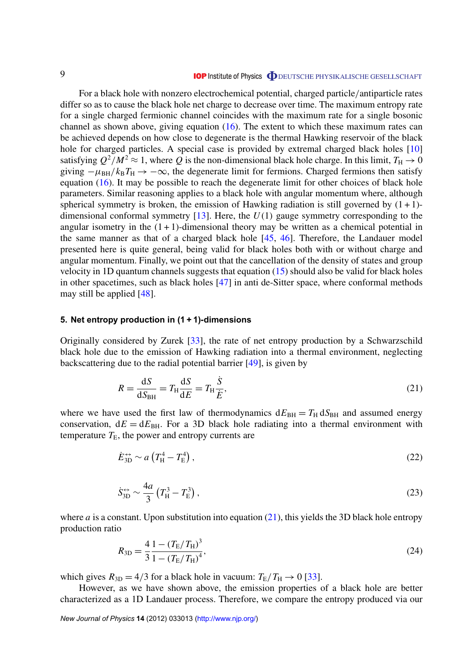<span id="page-9-0"></span>For a black hole with nonzero electrochemical potential, charged particle/antiparticle rates differ so as to cause the black hole net charge to decrease over time. The maximum entropy rate for a single charged fermionic channel coincides with the maximum rate for a single bosonic channel as shown above, giving equation [\(16\)](#page-6-0). The extent to which these maximum rates can be achieved depends on how close to degenerate is the thermal Hawking reservoir of the black hole for charged particles. A special case is provided by extremal charged black holes [\[10\]](#page-12-0) satisfying  $Q^2/M^2 \approx 1$ , where  $Q$  is the non-dimensional black hole charge. In this limit,  $T_H \to 0$ giving  $-\mu_{BH}/k_B T_H \rightarrow -\infty$ , the degenerate limit for fermions. Charged fermions then satisfy equation [\(16\)](#page-6-0). It may be possible to reach the degenerate limit for other choices of black hole parameters. Similar reasoning applies to a black hole with angular momentum where, although spherical symmetry is broken, the emission of Hawking radiation is still governed by  $(1 + 1)$ dimensional conformal symmetry [\[13\]](#page-12-0). Here, the *U*(1) gauge symmetry corresponding to the angular isometry in the  $(1 + 1)$ -dimensional theory may be written as a chemical potential in the same manner as that of a charged black hole [\[45,](#page-13-0) [46\]](#page-13-0). Therefore, the Landauer model presented here is quite general, being valid for black holes both with or without charge and angular momentum. Finally, we point out that the cancellation of the density of states and group velocity in 1D quantum channels suggests that equation [\(15\)](#page-6-0) should also be valid for black holes in other spacetimes, such as black holes [\[47\]](#page-13-0) in anti de-Sitter space, where conformal methods may still be applied [\[48\]](#page-14-0).

# **5. Net entropy production in (1 + 1)-dimensions**

Originally considered by Zurek [\[33\]](#page-13-0), the rate of net entropy production by a Schwarzschild black hole due to the emission of Hawking radiation into a thermal environment, neglecting backscattering due to the radial potential barrier [\[49\]](#page-14-0), is given by

$$
R = \frac{\text{d}S}{\text{d}S_{\text{BH}}} = T_{\text{H}} \frac{\text{d}S}{\text{d}E} = T_{\text{H}} \frac{\dot{S}}{\dot{E}},\tag{21}
$$

where we have used the first law of thermodynamics  $dE_{BH} = T_H dS_{BH}$  and assumed energy conservation,  $dE = dE<sub>BH</sub>$ . For a 3D black hole radiating into a thermal environment with temperature  $T_{\rm E}$ , the power and entropy currents are

$$
\dot{E}_{3D}^{\leftrightarrow} \sim a \left( T_{\rm H}^4 - T_{\rm E}^4 \right),\tag{22}
$$

$$
\dot{S}_{3D}^{\leftrightarrow} \sim \frac{4a}{3} \left( T_{\rm H}^3 - T_{\rm E}^3 \right),\tag{23}
$$

where *a* is a constant. Upon substitution into equation  $(21)$ , this yields the 3D black hole entropy production ratio

$$
R_{3D} = \frac{4}{3} \frac{1 - (T_{\rm E}/T_{\rm H})^3}{1 - (T_{\rm E}/T_{\rm H})^4},\tag{24}
$$

which gives  $R_{3D} = 4/3$  for a black hole in vacuum:  $T_E/T_H \rightarrow 0$  [\[33\]](#page-13-0).

However, as we have shown above, the emission properties of a black hole are better characterized as a 1D Landauer process. Therefore, we compare the entropy produced via our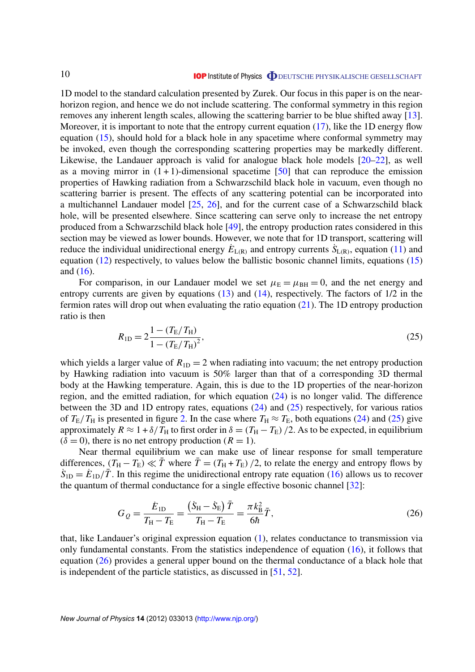<span id="page-10-0"></span>1D model to the standard calculation presented by Zurek. Our focus in this paper is on the nearhorizon region, and hence we do not include scattering. The conformal symmetry in this region removes any inherent length scales, allowing the scattering barrier to be blue shifted away [\[13\]](#page-12-0). Moreover, it is important to note that the entropy current equation [\(17\)](#page-6-0), like the 1D energy flow equation  $(15)$ , should hold for a black hole in any spacetime where conformal symmetry may be invoked, even though the corresponding scattering properties may be markedly different. Likewise, the Landauer approach is valid for analogue black hole models [\[20–22\]](#page-13-0), as well as a moving mirror in  $(1 + 1)$ -dimensional spacetime [\[50\]](#page-14-0) that can reproduce the emission properties of Hawking radiation from a Schwarzschild black hole in vacuum, even though no scattering barrier is present. The effects of any scattering potential can be incorporated into a multichannel Landauer model [\[25,](#page-13-0) [26\]](#page-13-0), and for the current case of a Schwarzschild black hole, will be presented elsewhere. Since scattering can serve only to increase the net entropy produced from a Schwarzschild black hole [\[49\]](#page-14-0), the entropy production rates considered in this section may be viewed as lower bounds. However, we note that for 1D transport, scattering will reduce the individual unidirectional energy  $E_{L(R)}$  and entropy currents  $\dot{S}_{L(R)}$ , equation [\(11\)](#page-5-0) and equation  $(12)$  respectively, to values below the ballistic bosonic channel limits, equations  $(15)$ and [\(16\)](#page-6-0).

For comparison, in our Landauer model we set  $\mu_{\rm E} = \mu_{\rm BH} = 0$ , and the net energy and entropy currents are given by equations [\(13\)](#page-5-0) and [\(14\)](#page-5-0), respectively. The factors of 1/2 in the fermion rates will drop out when evaluating the ratio equation [\(21\)](#page-9-0). The 1D entropy production ratio is then

$$
R_{1D} = 2\frac{1 - (T_{\rm E}/T_{\rm H})}{1 - (T_{\rm E}/T_{\rm H})^2},\tag{25}
$$

which yields a larger value of  $R_{1D} = 2$  when radiating into vacuum; the net entropy production by Hawking radiation into vacuum is 50% larger than that of a corresponding 3D thermal body at the Hawking temperature. Again, this is due to the 1D properties of the near-horizon region, and the emitted radiation, for which equation [\(24\)](#page-9-0) is no longer valid. The difference between the 3D and 1D entropy rates, equations [\(24\)](#page-9-0) and (25) respectively, for various ratios of  $T_{\rm E}/T_{\rm H}$  is presented in figure [2.](#page-11-0) In the case where  $T_{\rm H} \approx T_{\rm E}$ , both equations [\(24\)](#page-9-0) and (25) give approximately  $R \approx 1 + \delta/T_H$  to first order in  $\delta = (T_H - T_E)/2$ . As to be expected, in equilibrium  $(\delta = 0)$ , there is no net entropy production  $(R = 1)$ .

Near thermal equilibrium we can make use of linear response for small temperature differences,  $(T_H - T_E) \ll \bar{T}$  where  $\bar{T} = (T_H + T_E)/2$ , to relate the energy and entropy flows by  $S_{\text{1D}} = E_{\text{1D}}/\overline{T}$ . In this regime the unidirectional entropy rate equation [\(16\)](#page-6-0) allows us to recover the quantum of thermal conductance for a single effective bosonic channel [\[32\]](#page-13-0):

$$
G_{Q} = \frac{\dot{E}_{1D}}{T_{H} - T_{E}} = \frac{(\dot{S}_{H} - \dot{S}_{E})\,\bar{T}}{T_{H} - T_{E}} = \frac{\pi k_{B}^{2}}{6\hbar}\,\bar{T},\tag{26}
$$

that, like Landauer's original expression equation [\(1\)](#page-3-0), relates conductance to transmission via only fundamental constants. From the statistics independence of equation [\(16\)](#page-6-0), it follows that equation (26) provides a general upper bound on the thermal conductance of a black hole that is independent of the particle statistics, as discussed in [\[51,](#page-14-0) [52\]](#page-14-0).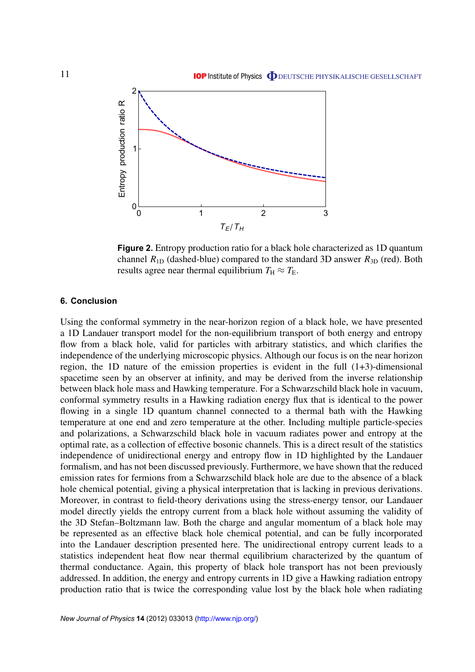<span id="page-11-0"></span>

**Figure 2.** Entropy production ratio for a black hole characterized as 1D quantum channel  $R_{1D}$  (dashed-blue) compared to the standard 3D answer  $R_{3D}$  (red). Both results agree near thermal equilibrium  $T_H \approx T_E$ .

# **6. Conclusion**

Using the conformal symmetry in the near-horizon region of a black hole, we have presented a 1D Landauer transport model for the non-equilibrium transport of both energy and entropy flow from a black hole, valid for particles with arbitrary statistics, and which clarifies the independence of the underlying microscopic physics. Although our focus is on the near horizon region, the 1D nature of the emission properties is evident in the full  $(1+3)$ -dimensional spacetime seen by an observer at infinity, and may be derived from the inverse relationship between black hole mass and Hawking temperature. For a Schwarzschild black hole in vacuum, conformal symmetry results in a Hawking radiation energy flux that is identical to the power flowing in a single 1D quantum channel connected to a thermal bath with the Hawking temperature at one end and zero temperature at the other. Including multiple particle-species and polarizations, a Schwarzschild black hole in vacuum radiates power and entropy at the optimal rate, as a collection of effective bosonic channels. This is a direct result of the statistics independence of unidirectional energy and entropy flow in 1D highlighted by the Landauer formalism, and has not been discussed previously. Furthermore, we have shown that the reduced emission rates for fermions from a Schwarzschild black hole are due to the absence of a black hole chemical potential, giving a physical interpretation that is lacking in previous derivations. Moreover, in contrast to field-theory derivations using the stress-energy tensor, our Landauer model directly yields the entropy current from a black hole without assuming the validity of the 3D Stefan–Boltzmann law. Both the charge and angular momentum of a black hole may be represented as an effective black hole chemical potential, and can be fully incorporated into the Landauer description presented here. The unidirectional entropy current leads to a statistics independent heat flow near thermal equilibrium characterized by the quantum of thermal conductance. Again, this property of black hole transport has not been previously addressed. In addition, the energy and entropy currents in 1D give a Hawking radiation entropy production ratio that is twice the corresponding value lost by the black hole when radiating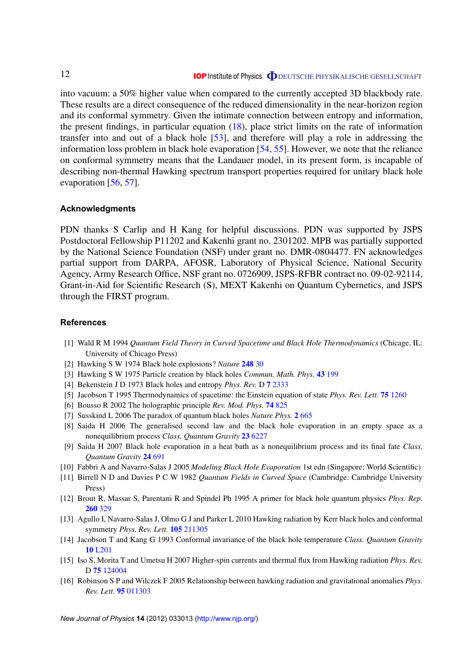<span id="page-12-0"></span>into vacuum: a 50% higher value when compared to the currently accepted 3D blackbody rate. These results are a direct consequence of the reduced dimensionality in the near-horizon region and its conformal symmetry. Given the intimate connection between entropy and information, the present findings, in particular equation [\(18\)](#page-6-0), place strict limits on the rate of information transfer into and out of a black hole [\[53\]](#page-14-0), and therefore will play a role in addressing the information loss problem in black hole evaporation [\[54,](#page-14-0) [55\]](#page-14-0). However, we note that the reliance on conformal symmetry means that the Landauer model, in its present form, is incapable of describing non-thermal Hawking spectrum transport properties required for unitary black hole evaporation [\[56,](#page-14-0) [57\]](#page-14-0).

#### **Acknowledgments**

PDN thanks S Carlip and H Kang for helpful discussions. PDN was supported by JSPS Postdoctoral Fellowship P11202 and Kakenhi grant no. 2301202. MPB was partially supported by the National Science Foundation (NSF) under grant no. DMR-0804477. FN acknowledges partial support from DARPA, AFOSR, Laboratory of Physical Science, National Security Agency, Army Research Office, NSF grant no. 0726909, JSPS-RFBR contract no. 09-02-92114, Grant-in-Aid for Scientific Research (S), MEXT Kakenhi on Quantum Cybernetics, and JSPS through the FIRST program.

### **References**

- [1] Wald R M 1994 *Quantum Field Theory in Curved Spacetime and Black Hole Thermodynamics* (Chicage, IL: University of Chicago Press)
- [2] Hawking S W 1974 Black hole explosions? *Nature* **[248](http://dx.doi.org/10.1038/248030a0)** 30
- [3] Hawking S W 1975 Particle creation by black holes *Commun. Math. Phys.* **43** [199](http://dx.doi.org/10.1007/BF02345020)
- [4] Bekenstein J D 1973 Black holes and entropy *Phys. Rev.* D **7** [2333](http://dx.doi.org/10.1103/PhysRevD.7.2333)
- [5] Jacobson T 1995 Thermodynamics of spacetime: the Einstein equation of state *Phys. Rev. Lett.* **75** [1260](http://dx.doi.org/10.1103/PhysRevLett.75.1260)
- [6] Bousso R 2002 The holographic principle *Rev. Mod. Phys.* **74** [825](http://dx.doi.org/10.1103/RevModPhys.74.825)
- [7] Susskind L 2006 The paradox of quantum black holes *Nature Phys.* **2** [665](http://dx.doi.org/10.1038/nphys429)
- [8] Saida H 2006 The generalised second law and the black hole evaporation in an empty space as a nonequilibrium process *Class. Quantum Gravity* **23** [6227](http://dx.doi.org/10.1088/0264-9381/23/22/010)
- [9] Saida H 2007 Black hole evaporation in a heat bath as a nonequilibrium process and its final fate *Class. Quantum Gravity* **24** [691](http://dx.doi.org/10.1088/0264-9381/24/3/012)
- [10] Fabbri A and Navarro-Salas J 2005 *Modeling Black Hole Evaporation* 1st edn (Singapore: World Scientific)
- [11] Birrell N D and Davies P C W 1982 *Quantum Fields in Curved Space* (Cambridge: Cambridge University Press)
- [12] Brout R, Massar S, Parentani R and Spindel Ph 1995 A primer for black hole quantum physics *Phys. Rep.* **[260](http://dx.doi.org/10.1016/0370-1573(95)00008-5)** 329
- [13] Agullo I, Navarro-Salas J, Olmo G J and Parker L 2010 Hawking radiation by Kerr black holes and conformal symmetry *Phys. Rev. Lett.* **105** [211305](http://dx.doi.org/10.1103/PhysRevLett.105.211305)
- [14] Jacobson T and Kang G 1993 Conformal invariance of the black hole temperature *Class. Quantum Gravity* **10** [L201](http://dx.doi.org/10.1088/0264-9381/10/11/002)
- [15] Iso S, Morita T and Umetsu H 2007 Higher-spin currents and thermal flux from Hawking radiation *Phys. Rev.* D **75** [124004](http://dx.doi.org/10.1103/PhysRevD.75.124004)
- [16] Robinson S P and Wilczek F 2005 Relationship between hawking radiation and gravitational anomalies *Phys. Rev. Lett.* **95** [011303](http://dx.doi.org/10.1103/PhysRevLett.95.011303)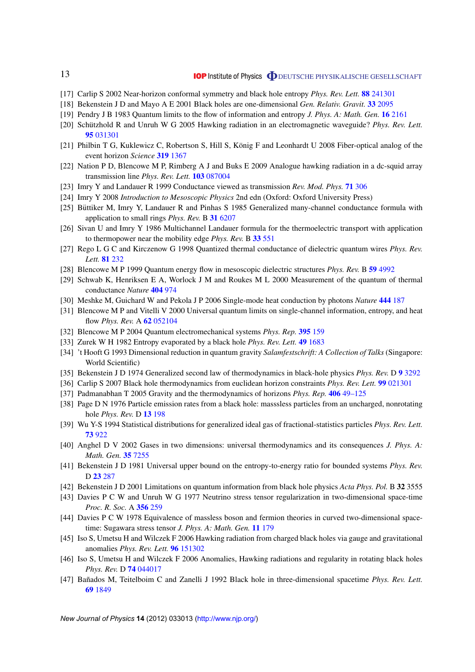## **IOP** Institute of Physics **ODEUTSCHE PHYSIKALISCHE GESELLSCHAFT**

- [17] Carlip S 2002 Near-horizon conformal symmetry and black hole entropy *Phys. Rev. Lett.* **88** [241301](http://dx.doi.org/10.1103/PhysRevLett.88.241301)
- [18] Bekenstein J D and Mayo A E 2001 Black holes are one-dimensional *Gen. Relativ. Gravit.* **33** [2095](http://dx.doi.org/10.1023/A:1015278813573)
- [19] Pendry J B 1983 Quantum limits to the flow of information and entropy *J. Phys. A: Math. Gen.* **16** [2161](http://dx.doi.org/10.1088/0305-4470/16/10/012)
- [20] Schützhold R and Unruh W G 2005 Hawking radiation in an electromagnetic waveguide? Phys. Rev. Lett. **95** [031301](http://dx.doi.org/10.1103/PhysRevLett.95.031301)
- [21] Philbin T G, Kuklewicz C, Robertson S, Hill S, König F and Leonhardt U 2008 Fiber-optical analog of the event horizon *Science* **319** [1367](http://dx.doi.org/10.1126/science.1153625)
- [22] Nation P D, Blencowe M P, Rimberg A J and Buks E 2009 Analogue hawking radiation in a dc-squid array transmission line *Phys. Rev. Lett.* **103** [087004](http://dx.doi.org/10.1103/PhysRevLett.103.087004)
- [23] Imry Y and Landauer R 1999 Conductance viewed as transmission *Rev. Mod. Phys.* **71** [306](http://dx.doi.org/10.1103/RevModPhys.71.S306)
- [24] Imry Y 2008 *Introduction to Mesoscopic Physics* 2nd edn (Oxford: Oxford University Press)
- [25] Büttiker M, Imry Y, Landauer R and Pinhas S 1985 Generalized many-channel conductance formula with application to small rings *Phys. Rev.* B **31** [6207](http://dx.doi.org/10.1103/PhysRevB.31.6207)
- [26] Sivan U and Imry Y 1986 Multichannel Landauer formula for the thermoelectric transport with application to thermopower near the mobility edge *Phys. Rev.* B **33** [551](http://dx.doi.org/10.1103/PhysRevB.33.551)
- [27] Rego L G C and Kirczenow G 1998 Quantized thermal conductance of dielectric quantum wires *Phys. Rev. Lett.* **81** [232](http://dx.doi.org/10.1103/PhysRevLett.81.232)
- [28] Blencowe M P 1999 Quantum energy flow in mesoscopic dielectric structures *Phys. Rev.* B **59** [4992](http://dx.doi.org/10.1103/PhysRevB.59.4992)
- [29] Schwab K, Henriksen E A, Worlock J M and Roukes M L 2000 Measurement of the quantum of thermal conductance *Nature* **[404](http://dx.doi.org/10.1038/35010065)** 974
- [30] Meshke M, Guichard W and Pekola J P 2006 Single-mode heat conduction by photons *Nature* **444** [187](http://dx.doi.org/10.1038/nature05276)
- [31] Blencowe M P and Vitelli V 2000 Universal quantum limits on single-channel information, entropy, and heat flow *Phys. Rev.* A **62** [052104](http://dx.doi.org/10.1103/PhysRevA.62.052104)
- [32] Blencowe M P 2004 Quantum electromechanical systems *Phys. Rep.* **395** [159](http://dx.doi.org/10.1016/j.physrep.2003.12.005)
- [33] Zurek W H 1982 Entropy evaporated by a black hole *Phys. Rev. Lett.* **49** [1683](http://dx.doi.org/10.1103/PhysRevLett.49.1683)
- [34] 't Hooft G 1993 Dimensional reduction in quantum gravity *Salamfestschrift: A Collection of Talks* (Singapore: World Scientific)
- [35] Bekenstein J D 1974 Generalized second law of thermodynamics in black-hole physics *Phys. Rev.* D **9** [3292](http://dx.doi.org/10.1103/PhysRevD.9.3292)
- [36] Carlip S 2007 Black hole thermodynamics from euclidean horizon constraints *Phys. Rev. Lett.* **99** [021301](http://dx.doi.org/10.1103/PhysRevLett.99.021301)
- [37] Padmanabhan T 2005 Gravity and the thermodynamics of horizons *Phys. Rep.* **406** [49–125](http://dx.doi.org/10.1016/j.physrep.2004.10.003)
- [38] Page D N 1976 Particle emission rates from a black hole: masssless particles from an uncharged, nonrotating hole *Phys. Rev.* D **13** [198](http://dx.doi.org/10.1103/PhysRevD.13.198)
- [39] Wu Y-S 1994 Statistical distributions for generalized ideal gas of fractional-statistics particles *Phys. Rev. Lett.* **73** [922](http://dx.doi.org/10.1103/PhysRevLett.73.922)
- [40] Anghel D V 2002 Gases in two dimensions: universal thermodynamics and its consequences *J. Phys. A: Math. Gen.* **35** [7255](http://dx.doi.org/10.1088/0305-4470/35/34/302)
- [41] Bekenstein J D 1981 Universal upper bound on the entropy-to-energy ratio for bounded systems *Phys. Rev.* D **23** [287](http://dx.doi.org/10.1103/PhysRevD.23.287)
- [42] Bekenstein J D 2001 Limitations on quantum information from black hole physics *Acta Phys. Pol.* B **32** 3555
- [43] Davies P C W and Unruh W G 1977 Neutrino stress tensor regularization in two-dimensional space-time *Proc. R. Soc.* A **[356](http://dx.doi.org/10.1098/rspa.1977.0131)** 259
- [44] Davies P C W 1978 Equivalence of massless boson and fermion theories in curved two-dimensional spacetime: Sugawara stress tensor *J. Phys. A: Math. Gen.* **11** [179](http://dx.doi.org/10.1088/0305-4470/11/1/019)
- [45] Iso S, Umetsu H and Wilczek F 2006 Hawking radiation from charged black holes via gauge and gravitational anomalies *Phys. Rev. Lett.* **96** [151302](http://dx.doi.org/10.1103/PhysRevLett.96.151302)
- [46] Iso S, Umetsu H and Wilczek F 2006 Anomalies, Hawking radiations and regularity in rotating black holes *Phys. Rev.* D **74** [044017](http://dx.doi.org/10.1103/PhysRevD.74.044017)
- [47] Bañados M, Teitelboim C and Zanelli J 1992 Black hole in three-dimensional spacetime *Phys. Rev. Lett.* **69** [1849](http://dx.doi.org/10.1103/PhysRevLett.69.1849)

*New Journal of Physics* **14** (2012) 033013 [\(http://www.njp.org/\)](http://www.njp.org/)

<span id="page-13-0"></span>13